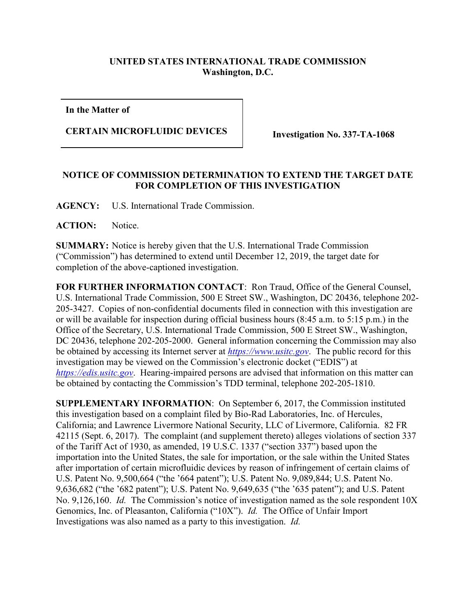## **UNITED STATES INTERNATIONAL TRADE COMMISSION Washington, D.C.**

**In the Matter of**

## **CERTAIN MICROFLUIDIC DEVICES Investigation No. 337-TA-1068**

## **NOTICE OF COMMISSION DETERMINATION TO EXTEND THE TARGET DATE FOR COMPLETION OF THIS INVESTIGATION**

**AGENCY:** U.S. International Trade Commission.

ACTION: Notice.

**SUMMARY:** Notice is hereby given that the U.S. International Trade Commission ("Commission") has determined to extend until December 12, 2019, the target date for completion of the above-captioned investigation.

**FOR FURTHER INFORMATION CONTACT**: Ron Traud, Office of the General Counsel, U.S. International Trade Commission, 500 E Street SW., Washington, DC 20436, telephone 202- 205-3427. Copies of non-confidential documents filed in connection with this investigation are or will be available for inspection during official business hours (8:45 a.m. to 5:15 p.m.) in the Office of the Secretary, U.S. International Trade Commission, 500 E Street SW., Washington, DC 20436, telephone 202-205-2000. General information concerning the Commission may also be obtained by accessing its Internet server at *[https://www.usitc.gov](https://www.usitc.gov/)*. The public record for this investigation may be viewed on the Commission's electronic docket ("EDIS") at *[https://edis.usitc.gov](https://edis.usitc.gov/)*. Hearing-impaired persons are advised that information on this matter can be obtained by contacting the Commission's TDD terminal, telephone 202-205-1810.

**SUPPLEMENTARY INFORMATION**: On September 6, 2017, the Commission instituted this investigation based on a complaint filed by Bio-Rad Laboratories, Inc. of Hercules, California; and Lawrence Livermore National Security, LLC of Livermore, California. 82 FR 42115 (Sept. 6, 2017). The complaint (and supplement thereto) alleges violations of section 337 of the Tariff Act of 1930, as amended, 19 U.S.C. 1337 ("section 337") based upon the importation into the United States, the sale for importation, or the sale within the United States after importation of certain microfluidic devices by reason of infringement of certain claims of U.S. Patent No. 9,500,664 ("the '664 patent"); U.S. Patent No. 9,089,844; U.S. Patent No. 9,636,682 ("the '682 patent"); U.S. Patent No. 9,649,635 ("the '635 patent"); and U.S. Patent No. 9,126,160. *Id.* The Commission's notice of investigation named as the sole respondent 10X Genomics, Inc. of Pleasanton, California ("10X"). *Id.* The Office of Unfair Import Investigations was also named as a party to this investigation. *Id.*